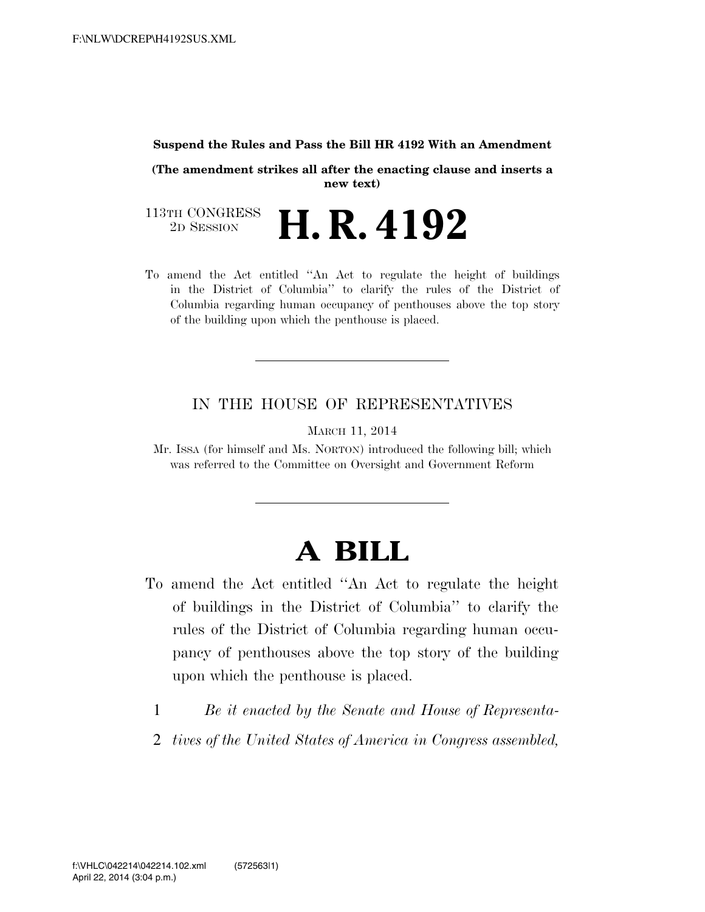## **Suspend the Rules and Pass the Bill HR 4192 With an Amendment**

**(The amendment strikes all after the enacting clause and inserts a new text)**

113TH CONGRESS<br>2D SESSION 2D SESSION **H. R. 4192**

To amend the Act entitled ''An Act to regulate the height of buildings in the District of Columbia'' to clarify the rules of the District of Columbia regarding human occupancy of penthouses above the top story of the building upon which the penthouse is placed.

## IN THE HOUSE OF REPRESENTATIVES

MARCH 11, 2014

Mr. ISSA (for himself and Ms. NORTON) introduced the following bill; which was referred to the Committee on Oversight and Government Reform

## **A BILL**

- To amend the Act entitled ''An Act to regulate the height of buildings in the District of Columbia'' to clarify the rules of the District of Columbia regarding human occupancy of penthouses above the top story of the building upon which the penthouse is placed.
	- 1 *Be it enacted by the Senate and House of Representa-*
	- 2 *tives of the United States of America in Congress assembled,*